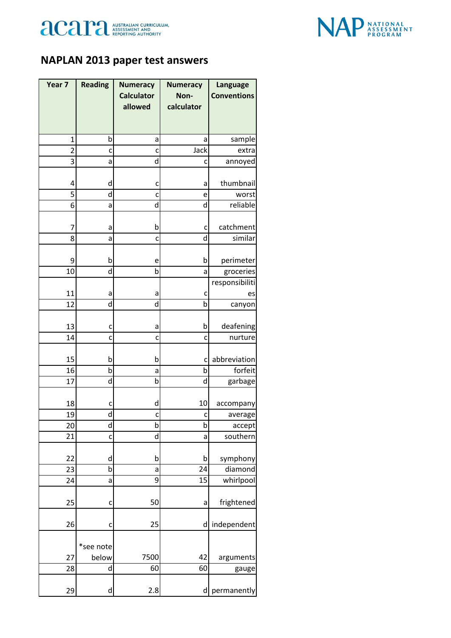



## **NAPLAN 2013 paper test answers**

| Year 7         | <b>Reading</b> | <b>Numeracy</b>   | <b>Numeracy</b> | <b>Language</b>    |
|----------------|----------------|-------------------|-----------------|--------------------|
|                |                | <b>Calculator</b> | Non-            | <b>Conventions</b> |
|                |                | allowed           | calculator      |                    |
|                |                |                   |                 |                    |
| $\mathbf{1}$   | b              | а                 | a               | sample             |
| $\overline{2}$ | c              | c                 | Jack            | extra              |
| $\overline{3}$ | a              | d                 | c               | annoyed            |
| 4              | d              | c                 | а               | thumbnail          |
| 5              | d              | C                 | e               | worst              |
| 6              | a              | d                 | d               | reliable           |
| 7              | a              | b                 | C               | catchment          |
| 8              | a              | C                 | d               | similar            |
| 9              | b              | e                 | b               | perimeter          |
| 10             | d              | b                 | a               | groceries          |
|                |                |                   |                 | responsibiliti     |
| 11             | а              | а                 | c               | es                 |
| 12             | d              | d                 | þ               | canyon             |
| 13             | c              | а                 | b               | deafening          |
| 14             | C              | C                 | c               | nurture            |
| 15             | b              | b                 | c               | abbreviation       |
| 16             | b              | a                 | b               | forfeit            |
| 17             | d              | b                 | d               | garbage            |
| 18             | c              | d                 | 10              | accompany          |
| 19             | d              | c                 | c               | average            |
| 20             | d              | b                 | b               | accept             |
| 21             | C              | d                 | a               | southern           |
| 22             | d              | b                 | b               | symphony           |
| 23             | b              | a                 | 24              | diamond            |
| 24             | a              | 9                 | 15              | whirlpool          |
| 25             | C              | 50                | a               | frightened         |
| 26             | c              | 25                | d               | independent        |
|                | *see note      |                   |                 |                    |
| 27             | below          | 7500              | 42              | arguments          |
| 28             | d              | 60                | 60              | gauge              |
| 29             | d              | 2.8               | d               | permanently        |